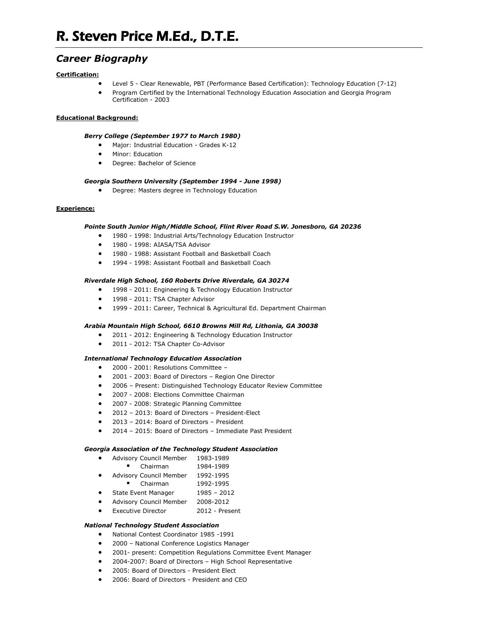# *Career Biography*

## **Certification:**

- Level 5 Clear Renewable, PBT (Performance Based Certification): Technology Education (7-12)
- Program Certified by the International Technology Education Association and Georgia Program Certification - 2003

## **Educational Background:**

## *Berry College (September 1977 to March 1980)*

- Major: Industrial Education Grades K-12
- **•** Minor: Education
- Degree: Bachelor of Science

## *Georgia Southern University (September 1994 - June 1998)*

Degree: Masters degree in Technology Education

## **Experience:**

## *Pointe South Junior High/Middle School, Flint River Road S.W. Jonesboro, GA 20236*

- 1980 1998: Industrial Arts/Technology Education Instructor
- 1980 1998: AIASA/TSA Advisor
- 1980 1988: Assistant Football and Basketball Coach
- 1994 1998: Assistant Football and Basketball Coach

## *Riverdale High School, 160 Roberts Drive Riverdale, GA 30274*

- 1998 2011: Engineering & Technology Education Instructor
- 1998 2011: TSA Chapter Advisor
- 1999 2011: Career, Technical & Agricultural Ed. Department Chairman

## *Arabia Mountain High School, 6610 Browns Mill Rd, Lithonia, GA 30038*

- 2011 2012: Engineering & Technology Education Instructor
- 2011 2012: TSA Chapter Co-Advisor

#### *International Technology Education Association*

- 2000 2001: Resolutions Committee –
- 2001 2003: Board of Directors Region One Director
- 2006 Present: Distinguished Technology Educator Review Committee
- 2007 2008: Elections Committee Chairman
- 2007 2008: Strategic Planning Committee
- 2012 2013: Board of Directors President-Elect
- 2013 2014: Board of Directors President
- 2014 2015: Board of Directors Immediate Past President

#### *Georgia Association of the Technology Student Association*

- Advisory Council Member 1983-1989
	- Chairman 1984-1989
- Advisory Council Member 1992-1995
- Chairman 1992-1995
- State Event Manager 1985 2012
- Advisory Council Member 2008-2012
- Executive Director 2012 Present

## *National Technology Student Association*

- National Contest Coordinator 1985 -1991
- 2000 National Conference Logistics Manager
- 2001- present: Competition Regulations Committee Event Manager
- 2004-2007: Board of Directors High School Representative
- 2005: Board of Directors President Elect
- 2006: Board of Directors President and CEO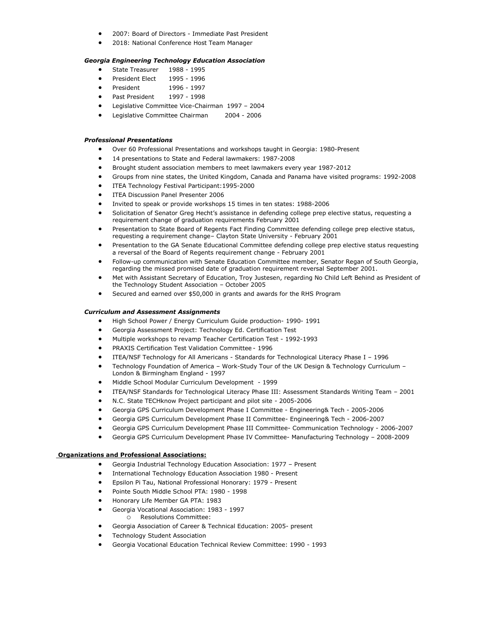- 2007: Board of Directors Immediate Past President
- 2018: National Conference Host Team Manager

## *Georgia Engineering Technology Education Association*

- State Treasurer 1988 1995
- President Elect 1995 1996
- President 1996 1997
- Past President 1997 1998
- Legislative Committee Vice-Chairman 1997 2004
- Legislative Committee Chairman 2004 2006

## *Professional Presentations*

- Over 60 Professional Presentations and workshops taught in Georgia: 1980-Present
- 14 presentations to State and Federal lawmakers: 1987-2008
- Brought student association members to meet lawmakers every year 1987-2012
- Groups from nine states, the United Kingdom, Canada and Panama have visited programs: 1992-2008
- ITEA Technology Festival Participant:1995-2000
- **ITEA Discussion Panel Presenter 2006**
- Invited to speak or provide workshops 15 times in ten states: 1988-2006
- Solicitation of Senator Greg Hecht's assistance in defending college prep elective status, requesting a requirement change of graduation requirements February 2001
- Presentation to State Board of Regents Fact Finding Committee defending college prep elective status, requesting a requirement change– Clayton State University - February 2001
- Presentation to the GA Senate Educational Committee defending college prep elective status requesting a reversal of the Board of Regents requirement change - February 2001
- Follow-up communication with Senate Education Committee member, Senator Regan of South Georgia, regarding the missed promised date of graduation requirement reversal September 2001.
- Met with Assistant Secretary of Education, Troy Justesen, regarding No Child Left Behind as President of the Technology Student Association – October 2005
- Secured and earned over \$50,000 in grants and awards for the RHS Program

### *Curriculum and Assessment Assignments*

- High School Power / Energy Curriculum Guide production- 1990- 1991
- Georgia Assessment Project: Technology Ed. Certification Test
- Multiple workshops to revamp Teacher Certification Test 1992-1993
- PRAXIS Certification Test Validation Committee 1996
- ITEA/NSF Technology for All Americans Standards for Technological Literacy Phase I 1996
- Technology Foundation of America Work-Study Tour of the UK Design & Technology Curriculum London & Birmingham England - 1997
- Middle School Modular Curriculum Development 1999
- ITEA/NSF Standards for Technological Literacy Phase III: Assessment Standards Writing Team 2001
- N.C. State TECHknow Project participant and pilot site 2005-2006
- Georgia GPS Curriculum Development Phase I Committee Engineering& Tech 2005-2006
- Georgia GPS Curriculum Development Phase II Committee- Engineering& Tech 2006-2007
- Georgia GPS Curriculum Development Phase III Committee- Communication Technology 2006-2007
- Georgia GPS Curriculum Development Phase IV Committee- Manufacturing Technology 2008-2009

#### **Organizations and Professional Associations:**

- Georgia Industrial Technology Education Association: 1977 Present
- International Technology Education Association 1980 Present
- Epsilon Pi Tau, National Professional Honorary: 1979 Present
- Pointe South Middle School PTA: 1980 1998
- Honorary Life Member GA PTA: 1983
- Georgia Vocational Association: 1983 1997
	- o Resolutions Committee:
- Georgia Association of Career & Technical Education: 2005- present
- Technology Student Association
- Georgia Vocational Education Technical Review Committee: 1990 1993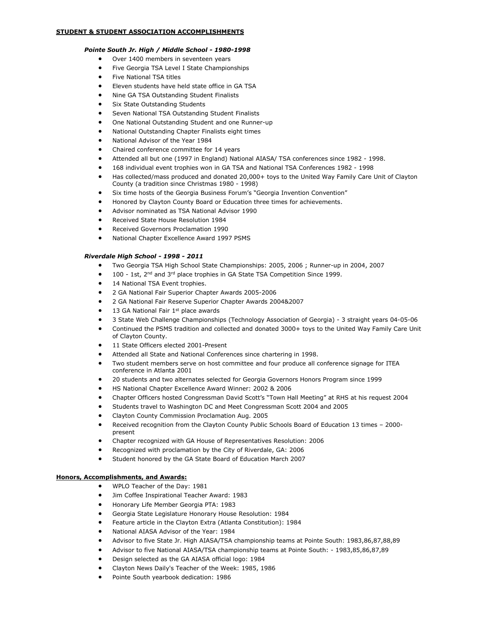### *Pointe South Jr. High / Middle School - 1980-1998*

- Over 1400 members in seventeen years
- Five Georgia TSA Level I State Championships
- Five National TSA titles
- Eleven students have held state office in GA TSA
- Nine GA TSA Outstanding Student Finalists
- Six State Outstanding Students
- Seven National TSA Outstanding Student Finalists
- One National Outstanding Student and one Runner-up
- National Outstanding Chapter Finalists eight times
- National Advisor of the Year 1984
- Chaired conference committee for 14 years
- Attended all but one (1997 in England) National AIASA/ TSA conferences since 1982 1998.
- 168 individual event trophies won in GA TSA and National TSA Conferences 1982 1998
- Has collected/mass produced and donated 20,000+ toys to the United Way Family Care Unit of Clayton County (a tradition since Christmas 1980 - 1998)
- Six time hosts of the Georgia Business Forum's "Georgia Invention Convention"
- Honored by Clayton County Board or Education three times for achievements.
- Advisor nominated as TSA National Advisor 1990
- Received State House Resolution 1984
- Received Governors Proclamation 1990
- National Chapter Excellence Award 1997 PSMS

#### *Riverdale High School - 1998 - 2011*

- Two Georgia TSA High School State Championships: 2005, 2006 ; Runner-up in 2004, 2007
- 100 1st, 2<sup>nd</sup> and 3<sup>rd</sup> place trophies in GA State TSA Competition Since 1999.
- 14 National TSA Event trophies.
- 2 GA National Fair Superior Chapter Awards 2005-2006
- 2 GA National Fair Reserve Superior Chapter Awards 2004&2007
- 13 GA National Fair  $1<sup>st</sup>$  place awards
- 3 State Web Challenge Championships (Technology Association of Georgia) 3 straight years 04-05-06
- Continued the PSMS tradition and collected and donated 3000+ toys to the United Way Family Care Unit of Clayton County.
- 11 State Officers elected 2001-Present
- Attended all State and National Conferences since chartering in 1998.
- Two student members serve on host committee and four produce all conference signage for ITEA conference in Atlanta 2001
- 20 students and two alternates selected for Georgia Governors Honors Program since 1999
- HS National Chapter Excellence Award Winner: 2002 & 2006
- Chapter Officers hosted Congressman David Scott's "Town Hall Meeting" at RHS at his request 2004
- Students travel to Washington DC and Meet Congressman Scott 2004 and 2005
- Clayton County Commission Proclamation Aug. 2005
- Received recognition from the Clayton County Public Schools Board of Education 13 times 2000 present
- Chapter recognized with GA House of Representatives Resolution: 2006
- Recognized with proclamation by the City of Riverdale, GA: 2006
- Student honored by the GA State Board of Education March 2007

#### **Honors, Accomplishments, and Awards:**

- WPLO Teacher of the Day: 1981
- Jim Coffee Inspirational Teacher Award: 1983
- Honorary Life Member Georgia PTA: 1983
- Georgia State Legislature Honorary House Resolution: 1984
- Feature article in the Clayton Extra (Atlanta Constitution): 1984
- National AIASA Advisor of the Year: 1984
- Advisor to five State Jr. High AIASA/TSA championship teams at Pointe South: 1983,86,87,88,89
- Advisor to five National AIASA/TSA championship teams at Pointe South: 1983,85,86,87,89
- Design selected as the GA AIASA official logo: 1984
- Clayton News Daily's Teacher of the Week: 1985, 1986
- Pointe South yearbook dedication: 1986